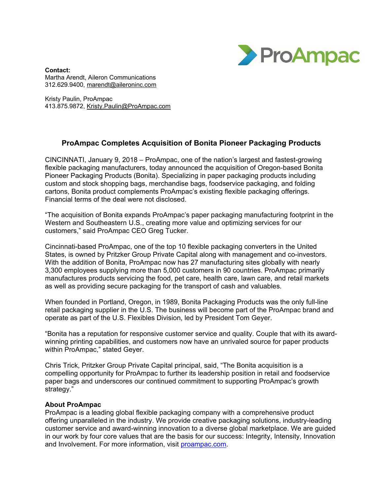

**Contact:** Martha Arendt, Aileron Communications 312.629.9400, marendt@aileroninc.com

Kristy Paulin, ProAmpac 413.875.9872, Kristy.Paulin@ProAmpac.com

## **ProAmpac Completes Acquisition of Bonita Pioneer Packaging Products**

CINCINNATI, January 9, 2018 – ProAmpac, one of the nation's largest and fastest-growing flexible packaging manufacturers, today announced the acquisition of Oregon-based Bonita Pioneer Packaging Products (Bonita). Specializing in paper packaging products including custom and stock shopping bags, merchandise bags, foodservice packaging, and folding cartons, Bonita product complements ProAmpac's existing flexible packaging offerings. Financial terms of the deal were not disclosed.

"The acquisition of Bonita expands ProAmpac's paper packaging manufacturing footprint in the Western and Southeastern U.S., creating more value and optimizing services for our customers," said ProAmpac CEO Greg Tucker.

Cincinnati-based ProAmpac, one of the top 10 flexible packaging converters in the United States, is owned by Pritzker Group Private Capital along with management and co-investors. With the addition of Bonita, ProAmpac now has 27 manufacturing sites globally with nearly 3,300 employees supplying more than 5,000 customers in 90 countries. ProAmpac primarily manufactures products servicing the food, pet care, health care, lawn care, and retail markets as well as providing secure packaging for the transport of cash and valuables.

When founded in Portland, Oregon, in 1989, Bonita Packaging Products was the only full-line retail packaging supplier in the U.S. The business will become part of the ProAmpac brand and operate as part of the U.S. Flexibles Division, led by President Tom Geyer.

"Bonita has a reputation for responsive customer service and quality. Couple that with its awardwinning printing capabilities, and customers now have an unrivaled source for paper products within ProAmpac," stated Geyer.

Chris Trick, Pritzker Group Private Capital principal, said, "The Bonita acquisition is a compelling opportunity for ProAmpac to further its leadership position in retail and foodservice paper bags and underscores our continued commitment to supporting ProAmpac's growth strategy."

## **About ProAmpac**

ProAmpac is a leading global flexible packaging company with a comprehensive product offering unparalleled in the industry. We provide creative packaging solutions, industry-leading customer service and award-winning innovation to a diverse global marketplace. We are guided in our work by four core values that are the basis for our success: Integrity, Intensity, Innovation and Involvement. For more information, visit proampac.com.